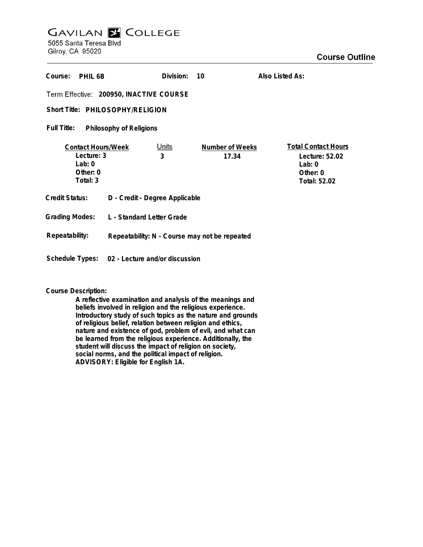## **GAVILAN Z COLLEGE** 5055 Santa Teresa Blvd

Gilroy, CA 95020

| Course:<br>PHIL 6B                                                          |                                                | Division:         | 10                       | Also Listed As:                                                                      |
|-----------------------------------------------------------------------------|------------------------------------------------|-------------------|--------------------------|--------------------------------------------------------------------------------------|
| Term Effective: 200950, INACTIVE COURSE                                     |                                                |                   |                          |                                                                                      |
| Short Title: PHILOSOPHY/RELIGION                                            |                                                |                   |                          |                                                                                      |
| Full Title:<br>Philosophy of Religions                                      |                                                |                   |                          |                                                                                      |
| <b>Contact Hours/Week</b><br>Lecture: 3<br>Lab: $0$<br>Other: 0<br>Total: 3 |                                                | <u>Units</u><br>3 | Number of Weeks<br>17.34 | <b>Total Contact Hours</b><br>Lecture: 52.02<br>Lab: $0$<br>Other: 0<br>Total: 52.02 |
| Credit Status:                                                              | D - Credit - Degree Applicable                 |                   |                          |                                                                                      |
| <b>Grading Modes:</b>                                                       | L - Standard Letter Grade                      |                   |                          |                                                                                      |
| Repeatability:                                                              | Repeatability: N - Course may not be repeated  |                   |                          |                                                                                      |
|                                                                             | Schedule Types: 02 - Lecture and/or discussion |                   |                          |                                                                                      |

## **Course Description:**

**A reflective examination and analysis of the meanings and beliefs involved in religion and the religious experience. Introductory study of such topics as the nature and grounds of religious belief, relation between religion and ethics, nature and existence of god, problem of evil, and what can be learned from the religious experience. Additionally, the student will discuss the impact of religion on society, social norms, and the political impact of religion. ADVISORY: Eligible for English 1A.**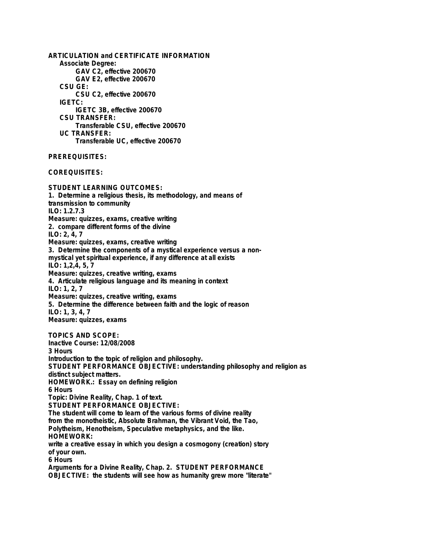**ARTICULATION and CERTIFICATE INFORMATION Associate Degree: GAV C2, effective 200670 GAV E2, effective 200670 CSU GE: CSU C2, effective 200670 IGETC: IGETC 3B, effective 200670 CSU TRANSFER: Transferable CSU, effective 200670 UC TRANSFER: Transferable UC, effective 200670 PREREQUISITES:**

**COREQUISITES:**

**STUDENT LEARNING OUTCOMES: 1. Determine a religious thesis, its methodology, and means of transmission to community ILO: 1.2.7.3 Measure: quizzes, exams, creative writing 2. compare different forms of the divine ILO: 2, 4, 7 Measure: quizzes, exams, creative writing 3. Determine the components of a mystical experience versus a nonmystical yet spiritual experience, if any difference at all exists ILO: 1,2,4, 5, 7 Measure: quizzes, creative writing, exams 4. Articulate religious language and its meaning in context ILO: 1, 2, 7 Measure: quizzes, creative writing, exams 5. Determine the difference between faith and the logic of reason ILO: 1, 3, 4, 7 Measure: quizzes, exams TOPICS AND SCOPE: Inactive Course: 12/08/2008 3 Hours Introduction to the topic of religion and philosophy. STUDENT PERFORMANCE OBJECTIVE: understanding philosophy and religion as distinct subject matters. HOMEWORK.: Essay on defining religion 6 Hours Topic: Divine Reality, Chap. 1 of text. STUDENT PERFORMANCE OBJECTIVE: The student will come to learn of the various forms of divine reality from the monotheistic, Absolute Brahman, the Vibrant Void, the Tao, Polytheism, Henotheism, Speculative metaphysics, and the like. HOMEWORK: write a creative essay in which you design a cosmogony (creation) story of your own. 6 Hours Arguments for a Divine Reality, Chap. 2. STUDENT PERFORMANCE OBJECTIVE: the students will see how as humanity grew more "literate"**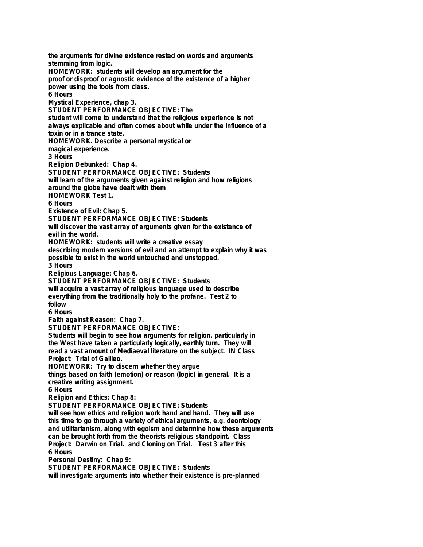**the arguments for divine existence rested on words and arguments stemming from logic. HOMEWORK: students will develop an argument for the proof or disproof or agnostic evidence of the existence of a higher power using the tools from class. 6 Hours Mystical Experience, chap 3. STUDENT PERFORMANCE OBJECTIVE: The student will come to understand that the religious experience is not always explicable and often comes about while under the influence of a toxin or in a trance state. HOMEWORK. Describe a personal mystical or magical experience. 3 Hours Religion Debunked: Chap 4. STUDENT PERFORMANCE OBJECTIVE: Students will learn of the arguments given against religion and how religions around the globe have dealt with them HOMEWORK Test 1. 6 Hours Existence of Evil: Chap 5. STUDENT PERFORMANCE OBJECTIVE: Students will discover the vast array of arguments given for the existence of evil in the world. HOMEWORK: students will write a creative essay describing modern versions of evil and an attempt to explain why it was possible to exist in the world untouched and unstopped. 3 Hours Religious Language: Chap 6. STUDENT PERFORMANCE OBJECTIVE: Students will acquire a vast array of religious language used to describe everything from the traditionally holy to the profane. Test 2 to follow 6 Hours Faith against Reason: Chap 7. STUDENT PERFORMANCE OBJECTIVE: Students will begin to see how arguments for religion, particularly in the West have taken a particularly logically, earthly turn. They will read a vast amount of Mediaeval literature on the subject. IN Class Project: Trial of Galileo. HOMEWORK: Try to discern whether they argue things based on faith (emotion) or reason (logic) in general. It is a creative writing assignment. 6 Hours Religion and Ethics: Chap 8: STUDENT PERFORMANCE OBJECTIVE: Students will see how ethics and religion work hand and hand. They will use this time to go through a variety of ethical arguments, e.g. deontology and utilitarianism, along with egoism and determine how these arguments can be brought forth from the theorists religious standpoint. Class Project: Darwin on Trial. and Cloning on Trial. Test 3 after this 6 Hours Personal Destiny: Chap 9: STUDENT PERFORMANCE OBJECTIVE: Students will investigate arguments into whether their existence is pre-planned**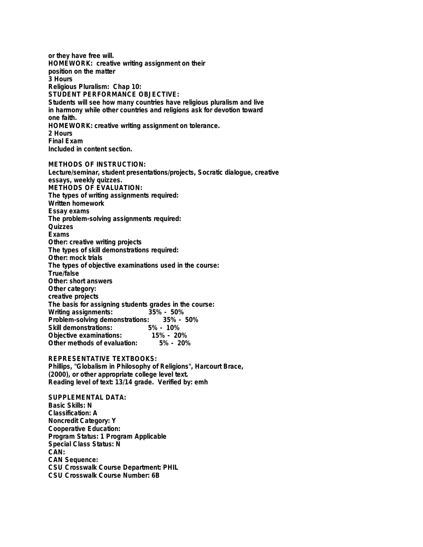**or they have free will. HOMEWORK: creative writing assignment on their position on the matter 3 Hours Religious Pluralism: Chap 10: STUDENT PERFORMANCE OBJECTIVE: Students will see how many countries have religious pluralism and live in harmony while other countries and religions ask for devotion toward one faith. HOMEWORK: creative writing assignment on tolerance. 2 Hours Final Exam Included in content section.**

**METHODS OF INSTRUCTION: Lecture/seminar, student presentations/projects, Socratic dialogue, creative essays, weekly quizzes. METHODS OF EVALUATION: The types of writing assignments required: Written homework Essay exams The problem-solving assignments required: Quizzes Exams Other: creative writing projects The types of skill demonstrations required: Other: mock trials The types of objective examinations used in the course: True/false Other: short answers Other category: creative projects The basis for assigning students grades in the course: Writing assignments: Problem-solving demonstrations: 35% - 50% Skill demonstrations: 5% - 10% Objective examinations: 15% - 20% Other methods of evaluation: 5% - 20%**

**REPRESENTATIVE TEXTBOOKS: Phillips, "Globalism in Philosophy of Religions", Harcourt Brace, (2000), or other appropriate college level text. Reading level of text: 13/14 grade. Verified by: emh**

**SUPPLEMENTAL DATA: Basic Skills: N Classification: A Noncredit Category: Y Cooperative Education: Program Status: 1 Program Applicable Special Class Status: N CAN: CAN Sequence: CSU Crosswalk Course Department: PHIL CSU Crosswalk Course Number: 6B**